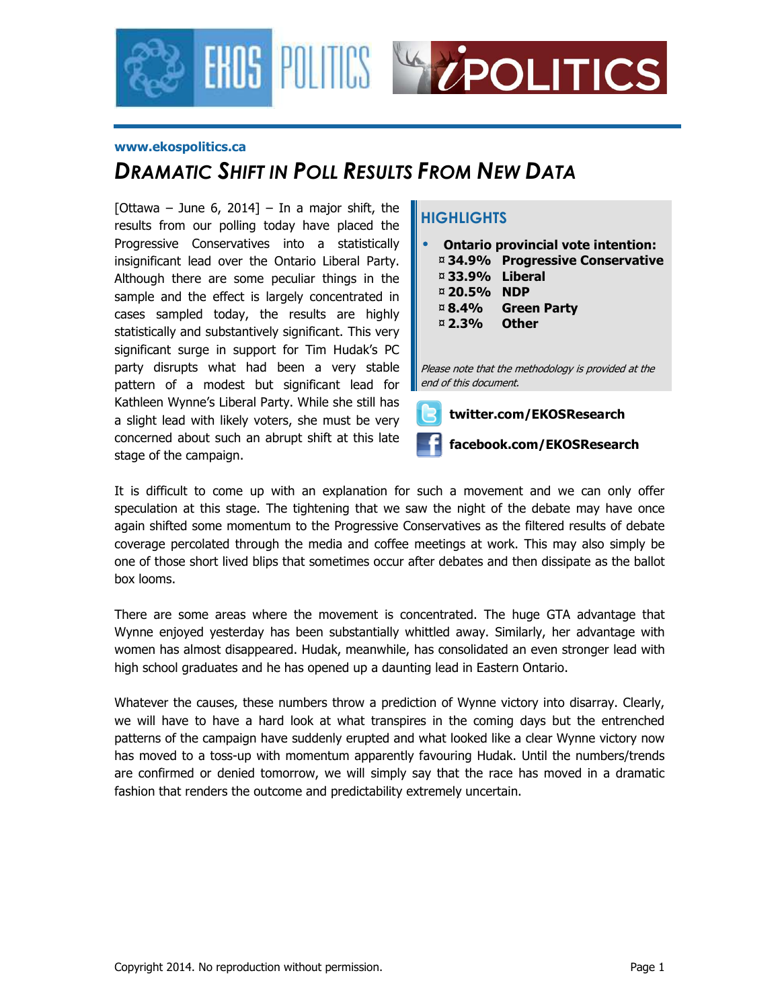

#### **www.ekospolitics.ca**

### *DRAMATIC SHIFT IN POLL RESULTS FROM NEW DATA*

[Ottawa – June 6, 2014] – In a major shift, the results from our polling today have placed the Progressive Conservatives into a statistically insignificant lead over the Ontario Liberal Party. Although there are some peculiar things in the sample and the effect is largely concentrated in cases sampled today, the results are highly statistically and substantively significant. This very significant surge in support for Tim Hudak's PC party disrupts what had been a very stable pattern of a modest but significant lead for Kathleen Wynne's Liberal Party. While she still has a slight lead with likely voters, she must be very concerned about such an abrupt shift at this late stage of the campaign.

#### **HIGHLIGHTS**

| ¤33.9% Liberal<br>¤ 20.5% NDP<br>¤ 8.4%<br>¤ 2.3% | <b>Ontario provincial vote intention:</b><br>¤ 34.9% Progressive Conservative<br><b>Green Party</b><br>Other<br>Please note that the methodology is provided at the |
|---------------------------------------------------|---------------------------------------------------------------------------------------------------------------------------------------------------------------------|
| end of this document.                             |                                                                                                                                                                     |
|                                                   | twitter.com/EKOSResearch                                                                                                                                            |



It is difficult to come up with an explanation for such a movement and we can only offer speculation at this stage. The tightening that we saw the night of the debate may have once again shifted some momentum to the Progressive Conservatives as the filtered results of debate coverage percolated through the media and coffee meetings at work. This may also simply be one of those short lived blips that sometimes occur after debates and then dissipate as the ballot box looms.

There are some areas where the movement is concentrated. The huge GTA advantage that Wynne enjoyed yesterday has been substantially whittled away. Similarly, her advantage with women has almost disappeared. Hudak, meanwhile, has consolidated an even stronger lead with high school graduates and he has opened up a daunting lead in Eastern Ontario.

Whatever the causes, these numbers throw a prediction of Wynne victory into disarray. Clearly, we will have to have a hard look at what transpires in the coming days but the entrenched patterns of the campaign have suddenly erupted and what looked like a clear Wynne victory now has moved to a toss-up with momentum apparently favouring Hudak. Until the numbers/trends are confirmed or denied tomorrow, we will simply say that the race has moved in a dramatic fashion that renders the outcome and predictability extremely uncertain.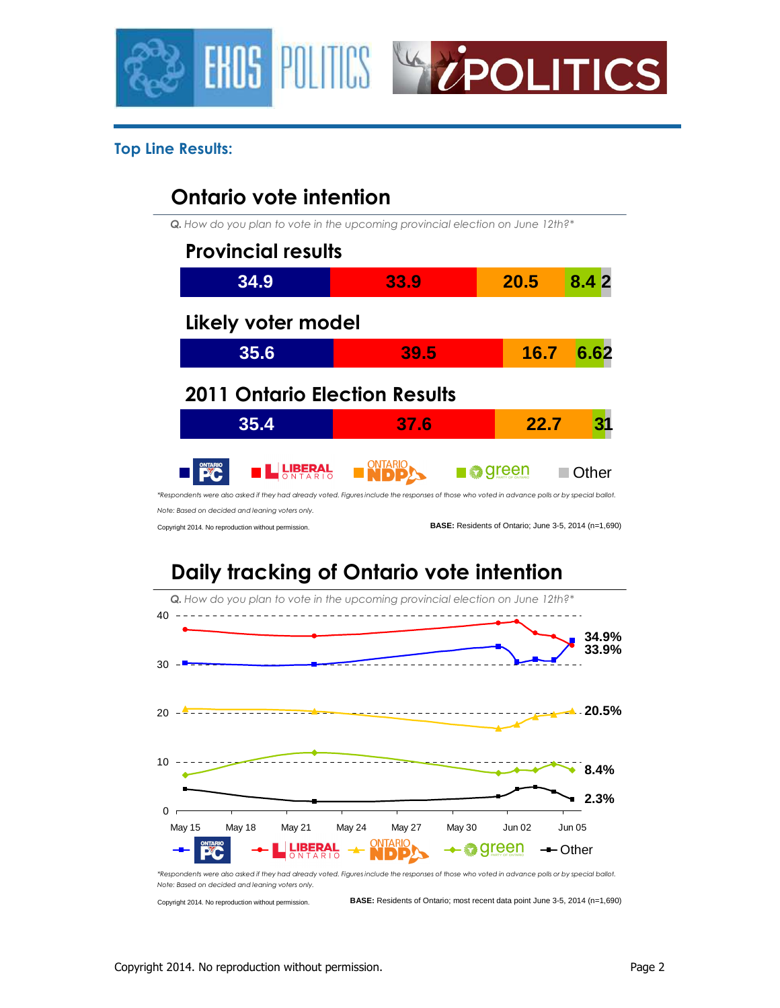



#### **Top Line Results:**

### **Ontario vote intention**

*Q. How do you plan to vote in the upcoming provincial election on June 12th?\**

| <b>Provincial results</b>            |                                                                                                                                                 |       |       |
|--------------------------------------|-------------------------------------------------------------------------------------------------------------------------------------------------|-------|-------|
| 34.9                                 | 33.9                                                                                                                                            | 20.5  | 8.42  |
| Likely voter model                   |                                                                                                                                                 |       |       |
| 35.6                                 | 39.5                                                                                                                                            | 16.7  | 6.62  |
|                                      |                                                                                                                                                 |       |       |
| <b>2011 Ontario Election Results</b> |                                                                                                                                                 |       |       |
| 35.4                                 | 37.6                                                                                                                                            | 22.7  |       |
| <b>EL PIBERAL</b>                    | *Respondents were also asked if they had already voted. Figures include the responses of those who voted in advance polls or by special ballot. | green | Other |

Copyright 2014. No reproduction without permission.

**BASE:** Residents of Ontario; June 3-5, 2014 (n=1,690)

# **Daily tracking of Ontario vote intention**

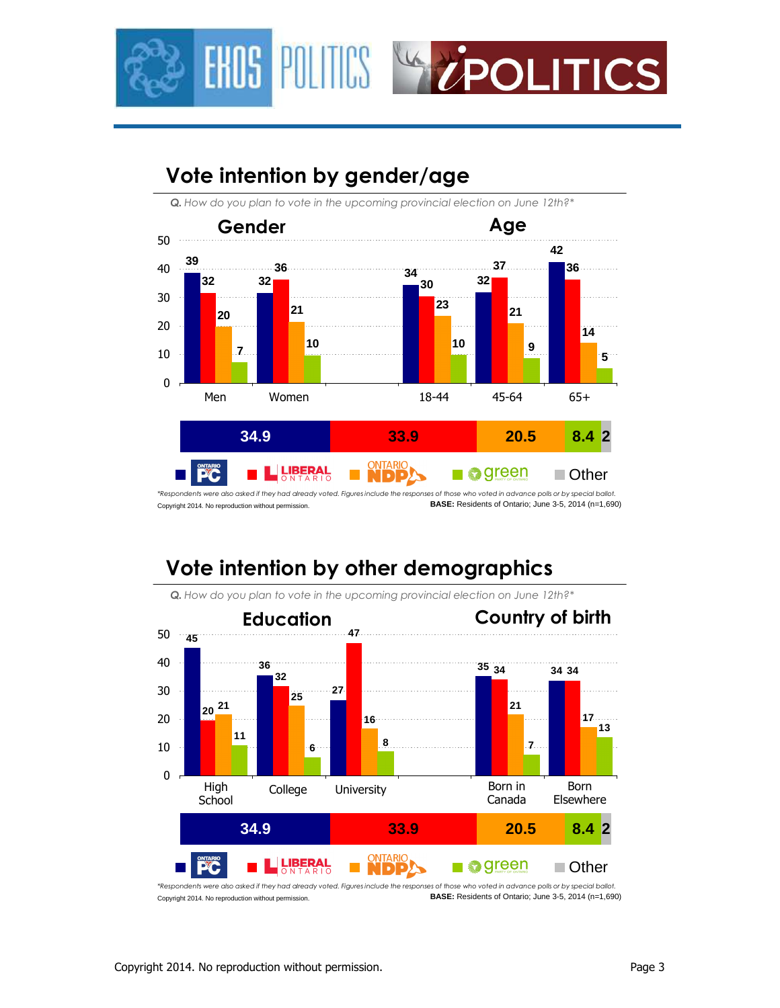



## **Vote intention by gender/age**

Copyright 2014. No reproduction without permission. *\*Respondents were also asked if they had already voted. Figures include the responses of those who voted in advance polls or by special ballot.* **BASE:** Residents of Ontario; June 3-5, 2014 (n=1,690)

## **Vote intention by other demographics**



*Q. How do you plan to vote in the upcoming provincial election on June 12th?\**

Copyright 2014. No reproduction without permission. *\*Respondents were also asked if they had already voted. Figures include the responses of those who voted in advance polls or by special ballot.* **BASE:** Residents of Ontario; June 3-5, 2014 (n=1,690)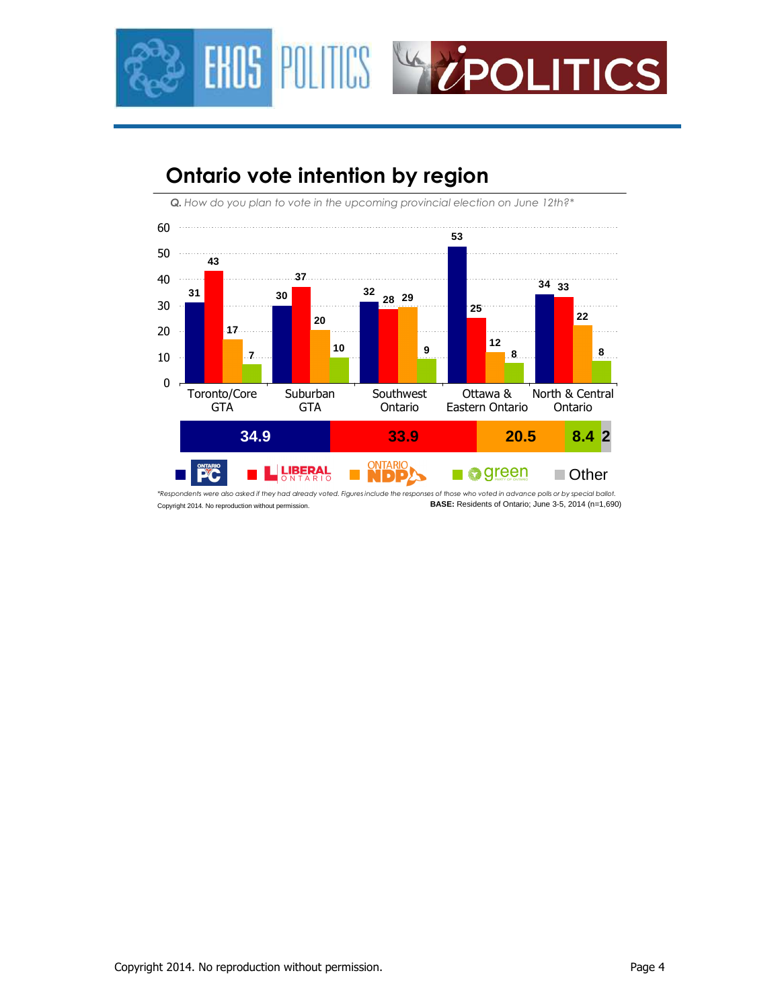

## **Ontario vote intention by region**

*Q. How do you plan to vote in the upcoming provincial election on June 12th?\**



Copyright 2014. No reproduction without permission. *\*Respondents were also asked if they had already voted. Figures include the responses of those who voted in advance polls or by special ballot.* **BASE:** Residents of Ontario; June 3-5, 2014 (n=1,690)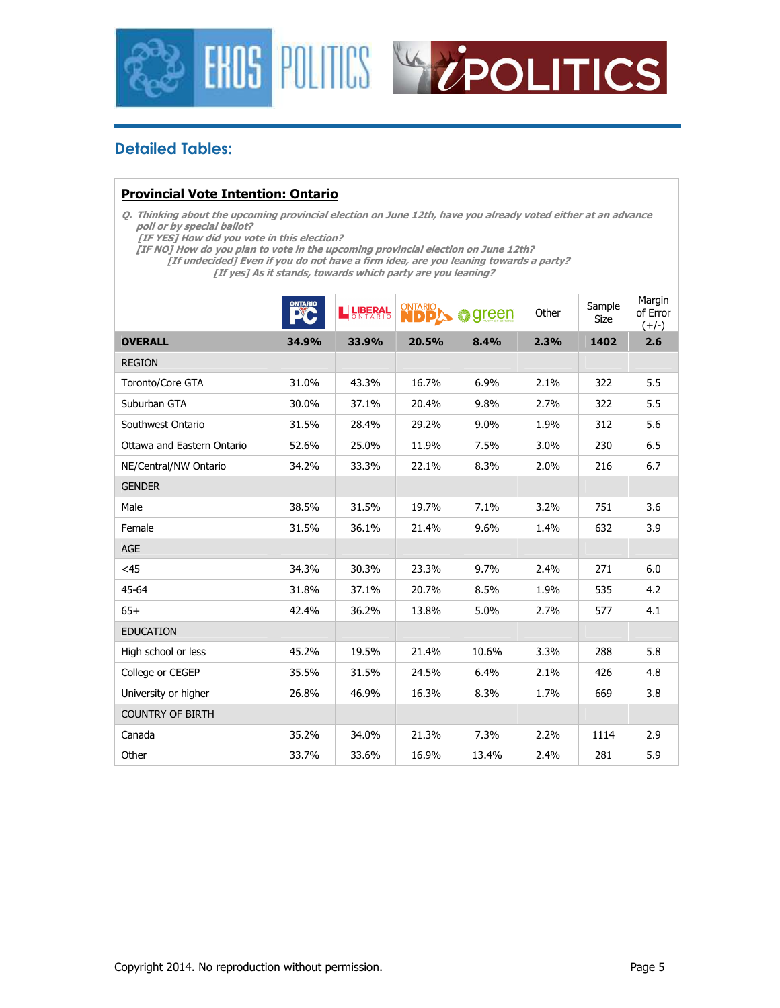



#### **Detailed Tables:**

#### **Provincial Vote Intention: Ontario**

**Q. Thinking about the upcoming provincial election on June 12th, have you already voted either at an advance poll or by special ballot?** 

 **[IF YES] How did you vote in this election?** 

**[IF NO] How do you plan to vote in the upcoming provincial election on June 12th?** 

 **[If undecided] Even if you do not have a firm idea, are you leaning towards a party? [If yes] As it stands, towards which party are you leaning?** 

Margin **DNTARIO** Other  $\Big|$  Sample **Ne LIBERAL** of Error ≱green Size  $(+/-)$ **OVERALL 34.9% 33.9% 20.5% 8.4% 2.3% 1402 2.6**  REGION Toronto/Core GTA 31.0% 43.3% 16.7% 6.9% 2.1% 322 5.5 Suburban GTA 30.0% 37.1% 20.4% 9.8% 2.7% 322 5.5 Southwest Ontario 1 31.5% 28.4% 29.2% 9.0% 1.9% 312 5.6 Ottawa and Eastern Ontario 52.6% 25.0% 11.9% 7.5% 3.0% 230 6.5 NE/Central/NW Ontario 34.2% 33.3% 22.1% 8.3% 2.0% 216 6.7 **GENDER** Male 38.5% 31.5% 19.7% 7.1% 3.2% 751 3.6 Female 31.5% 36.1% 21.4% 9.6% 1.4% 632 3.9 AGE <45 34.3% 30.3% 23.3% 9.7% 2.4% 271 6.0 45-64 31.8% 37.1% 20.7% 8.5% 1.9% 535 4.2 65+ 42.4% 36.2% 13.8% 5.0% 2.7% 577 4.1 EDUCATION High school or less 45.2% 19.5% 21.4% 10.6% 3.3% 288 5.8 College or CEGEP 35.5% 31.5% 24.5% 6.4% 2.1% 426 4.8 University or higher 26.8% 46.9% 16.3% 8.3% 1.7% 669 3.8 COUNTRY OF BIRTH Canada 35.2% 34.0% 21.3% 7.3% 2.2% 1114 2.9 Other 33.7% 33.6% 16.9% 13.4% 2.4% 281 5.9